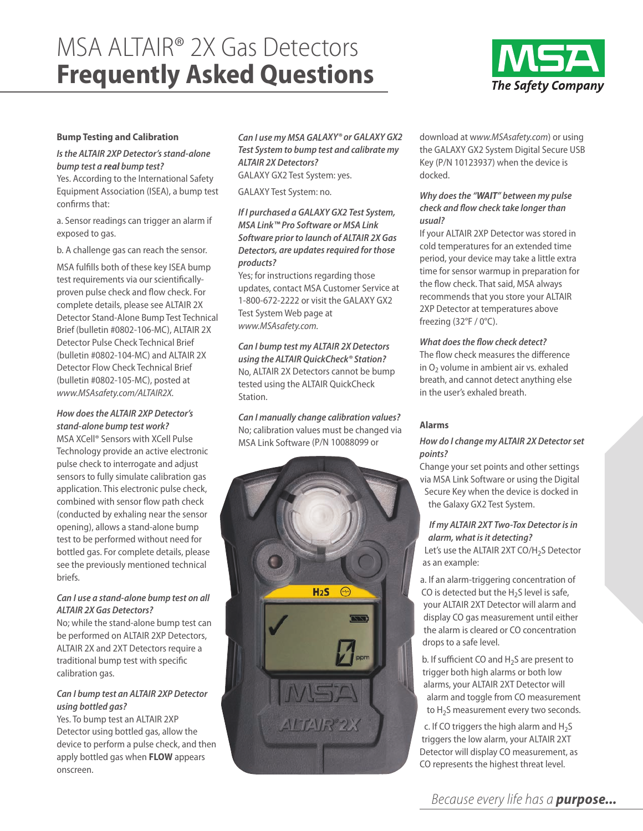# MSA ALTAIR® 2X Gas Detectors **Frequently Asked Questions**



# **Bump Testing and Calibration**

# *Is the ALTAIR 2XP Detector's stand-alone bump test a real bump test?*

Yes. According to the International Safety Equipment Association (ISEA), a bump test confirms that:

a. Sensor readings can trigger an alarm if exposed to gas.

b. A challenge gas can reach the sensor.

MSA fulfills both of these key ISEA bump test requirements via our scientificallyproven pulse check and flow check. For complete details, please see ALTAIR 2X Detector Stand-Alone Bump Test Technical Brief (bulletin #0802-106-MC), ALTAIR 2X Detector Pulse Check Technical Brief (bulletin #0802-104-MC) and ALTAIR 2X Detector Flow Check Technical Brief (bulletin #0802-105-MC), posted at *www.MSAsafety.com/ALTAIR2X.*

#### *How does the ALTAIR 2XP Detector's stand-alone bump test work?*

MSA XCell® Sensors with XCell Pulse Technology provide an active electronic pulse check to interrogate and adjust sensors to fully simulate calibration gas application. This electronic pulse check, combined with sensor flow path check (conducted by exhaling near the sensor opening), allows a stand-alone bump test to be performed without need for bottled gas. For complete details, please see the previously mentioned technical briefs.

# *Can I use a stand-alone bump test on all ALTAIR 2X Gas Detectors?*

No; while the stand-alone bump test can be performed on ALTAIR 2XP Detectors, ALTAIR 2X and 2XT Detectors require a traditional bump test with specific calibration gas.

# *Can I bump test an ALTAIR 2XP Detector using bottled gas?*

Yes. To bump test an ALTAIR 2XP Detector using bottled gas, allow the device to perform a pulse check, and then apply bottled gas when **FLOW** appears onscreen.

*Can I use my MSA GALAXY® or GALAXY GX2 Test System to bump test and calibrate my ALTAIR 2X Detectors?* GALAXY GX2 Test System: yes.

GALAXY Test System: no.

# *If I purchased a GALAXY GX2 Test System, MSA Link™ Pro Software or MSA Link Software prior to launch of ALTAIR 2X Gas Detectors, are updates required for those products?*

Yes; for instructions regarding those updates, contact MSA Customer Service at 1-800-672-2222 or visit the GALAXY GX2 Test System Web page at *www.MSAsafety.com.* 

*Can I bump test my ALTAIR 2X Detectors using the ALTAIR QuickCheck® Station?* No, ALTAIR 2X Detectors cannot be bump tested using the ALTAIR QuickCheck Station.

*Can I manually change calibration values?*  No; calibration values must be changed via MSA Link Software (P/N 10088099 or



download at w*ww.MSAsafety.com*) or using the GALAXY GX2 System Digital Secure USB Key (P/N 10123937) when the device is docked.

# *Why does the "WAIT" between my pulse check and flow check take longer than usual?*

If your ALTAIR 2XP Detector was stored in cold temperatures for an extended time period, your device may take a little extra time for sensor warmup in preparation for the flow check. That said, MSA always recommends that you store your ALTAIR 2XP Detector at temperatures above freezing (32°F / 0°C).

# *What does the flow check detect?*

The flow check measures the difference in  $O<sub>2</sub>$  volume in ambient air vs. exhaled breath, and cannot detect anything else in the user's exhaled breath.

# **Alarms**

# *How do I change my ALTAIR 2X Detector set points?*

Change your set points and other settings via MSA Link Software or using the Digital Secure Key when the device is docked in the Galaxy GX2 Test System.

*If my ALTAIR 2XT Two-Tox Detector is in alarm, what is it detecting?* Let's use the ALTAIR 2XT CO/H<sub>2</sub>S Detector as an example:

- a. If an alarm-triggering concentration of CO is detected but the  $H_2S$  level is safe, your ALTAIR 2XT Detector will alarm and display CO gas measurement until either the alarm is cleared or CO concentration drops to a safe level.
- b. If sufficient CO and  $H<sub>2</sub>S$  are present to trigger both high alarms or both low alarms, your ALTAIR 2XT Detector will alarm and toggle from CO measurement to  $H_2$ S measurement every two seconds.

c. If CO triggers the high alarm and  $H_2S$ triggers the low alarm, your ALTAIR 2XT Detector will display CO measurement, as CO represents the highest threat level.